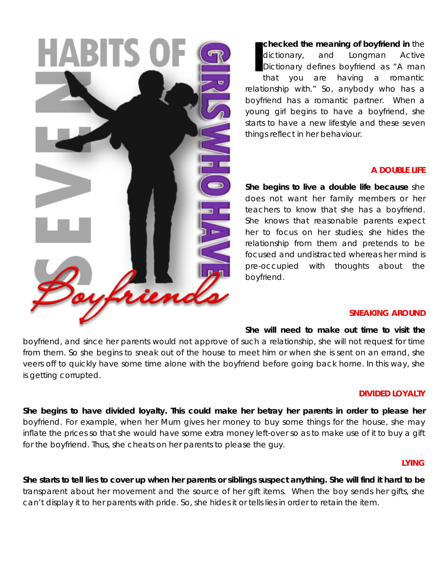

**checked the meaning of boyfriend in** the dictionary, and Longman Active Dictionary defines boyfriend as "A man that you are having a romantic relationship with." So, anybody who has a boyfriend has a romantic partner. When a young girl begins to have a boyfriend, she starts to have a new lifestyle and these seven things reflect in her behaviour. **I**

### **A DOUBLE LIFE**

**She begins to live a double life because** she does not want her family members or her teachers to know that she has a boyfriend. She knows that reasonable parents expect her to focus on her studies; she hides the relationship from them and pretends to be focused and undistracted whereas her mind is pre-occupied with thoughts about the boyfriend.

#### **SNEAKING AROUND**

**She will need to make out time to visit the**

boyfriend, and since her parents would not approve of such a relationship, she will not request for time from them. So she begins to sneak out of the house to meet him or when she is sent on an errand, she veers off to quickly have some time alone with the boyfriend before going back home. In this way, she is getting corrupted.

#### **DIVIDED LOYALTY**

**She begins to have divided loyalty. This could make her betray her parents in order to please her** boyfriend. For example, when her Mum gives her money to buy some things for the house, she may inflate the prices so that she would have some extra money left-over so as to make use of it to buy a gift for the boyfriend. Thus, she cheats on her parents to please the guy.

### **LYING**

**She starts to tell lies to cover up when her parents or siblings suspect anything. She will find it hard to be** transparent about her movement and the source of her gift items. When the boy sends her gifts, she can't display it to her parents with pride. So, she hides it or tells lies in order to retain the item.